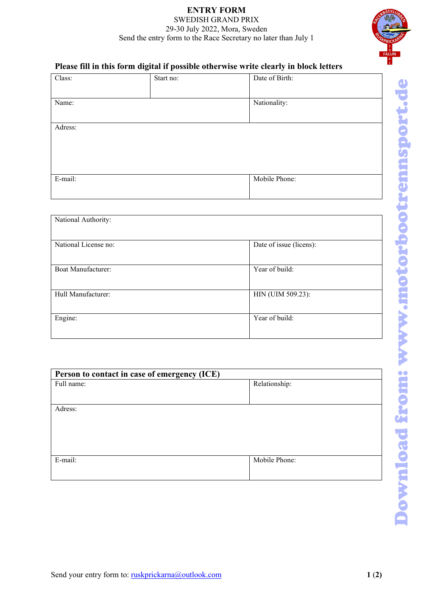## **ENTRY FORM** SWEDISH GRAND PRIX 29-30 July 2022, Mora, Sweden Send the entry form to the Race Secretary no later than July 1



## **Please fill in this form digital if possible otherwise write clearly in block letters**

| Class:  | Start no: | Date of Birth: |
|---------|-----------|----------------|
| Name:   |           | Nationality:   |
| Adress: |           |                |
| E-mail: |           | Mobile Phone:  |

| National Authority:       |                         |
|---------------------------|-------------------------|
| National License no:      | Date of issue (licens): |
| <b>Boat Manufacturer:</b> | Year of build:          |
| Hull Manufacturer:        | HIN (UIM 509.23):       |
| Engine:                   | Year of build:          |

| Person to contact in case of emergency (ICE) |               |  |
|----------------------------------------------|---------------|--|
| Full name:                                   | Relationship: |  |
|                                              |               |  |
| Adress:                                      |               |  |
|                                              |               |  |
| E-mail:                                      | Mobile Phone: |  |